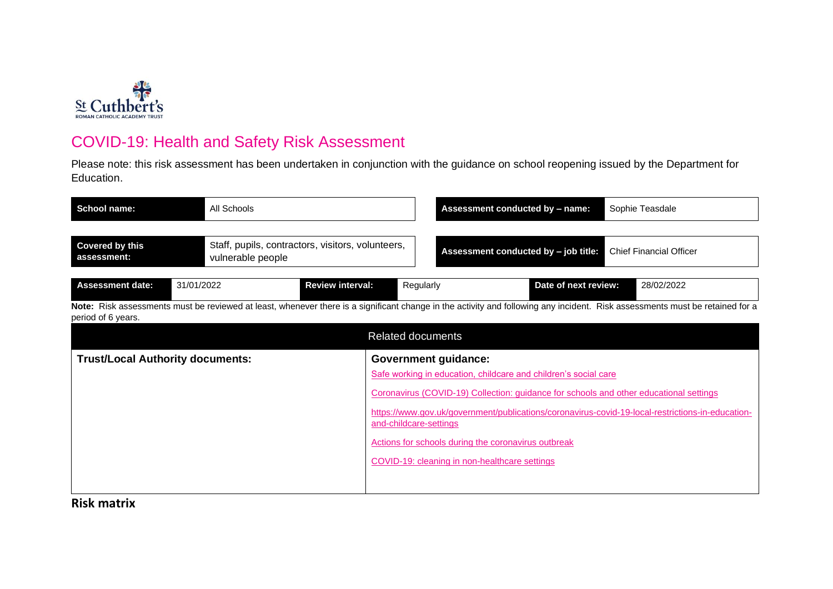

## COVID-19: Health and Safety Risk Assessment

Please note: this risk assessment has been undertaken in conjunction with the guidance on school reopening issued by the Department for Education.

| <b>School name:</b>                          | All Schools       |                                                   |                                                       | Assessment conducted by - name:                                                                                                                                                                                                                                   | Sophie Teasdale                                                                                                                                                              |
|----------------------------------------------|-------------------|---------------------------------------------------|-------------------------------------------------------|-------------------------------------------------------------------------------------------------------------------------------------------------------------------------------------------------------------------------------------------------------------------|------------------------------------------------------------------------------------------------------------------------------------------------------------------------------|
| <b>Covered by this</b><br>assessment:        | vulnerable people | Staff, pupils, contractors, visitors, volunteers, |                                                       | Assessment conducted by - job title:                                                                                                                                                                                                                              | <b>Chief Financial Officer</b>                                                                                                                                               |
| <b>Assessment date:</b>                      | 31/01/2022        | <b>Review interval:</b>                           | Regularly                                             | Date of next review:                                                                                                                                                                                                                                              | 28/02/2022                                                                                                                                                                   |
| period of 6 years.                           |                   |                                                   |                                                       |                                                                                                                                                                                                                                                                   | Note: Risk assessments must be reviewed at least, whenever there is a significant change in the activity and following any incident. Risk assessments must be retained for a |
|                                              |                   |                                                   | <b>Related documents</b>                              |                                                                                                                                                                                                                                                                   |                                                                                                                                                                              |
| <b>Trust/Local Authority documents:</b><br>. |                   |                                                   | <b>Government guidance:</b><br>and-childcare-settings | Safe working in education, childcare and children's social care<br>Coronavirus (COVID-19) Collection: guidance for schools and other educational settings<br>Actions for schools during the coronavirus outbreak<br>COVID-19: cleaning in non-healthcare settings | https://www.gov.uk/government/publications/coronavirus-covid-19-local-restrictions-in-education-                                                                             |

**Risk matrix**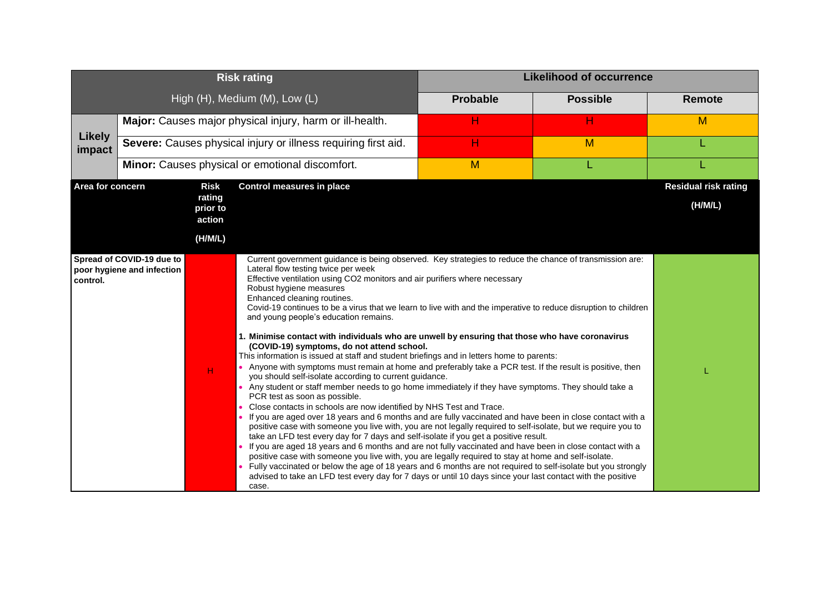| <b>Risk rating</b>      |                                                         |                                                        |                                                                                                                                                                                                                                                                                                                                                                                                                                                                                                                                                                                                                                                                                                                                                                                                                                                                                                                                                                                                                                                                                                                                                                                                                                                                                                                                                                                                                                                                                                                                                                                                                                                                                                                                                                                                                                                                              |                 | <b>Likelihood of occurrence</b> |                                        |
|-------------------------|---------------------------------------------------------|--------------------------------------------------------|------------------------------------------------------------------------------------------------------------------------------------------------------------------------------------------------------------------------------------------------------------------------------------------------------------------------------------------------------------------------------------------------------------------------------------------------------------------------------------------------------------------------------------------------------------------------------------------------------------------------------------------------------------------------------------------------------------------------------------------------------------------------------------------------------------------------------------------------------------------------------------------------------------------------------------------------------------------------------------------------------------------------------------------------------------------------------------------------------------------------------------------------------------------------------------------------------------------------------------------------------------------------------------------------------------------------------------------------------------------------------------------------------------------------------------------------------------------------------------------------------------------------------------------------------------------------------------------------------------------------------------------------------------------------------------------------------------------------------------------------------------------------------------------------------------------------------------------------------------------------------|-----------------|---------------------------------|----------------------------------------|
|                         |                                                         |                                                        | High (H), Medium (M), Low (L)                                                                                                                                                                                                                                                                                                                                                                                                                                                                                                                                                                                                                                                                                                                                                                                                                                                                                                                                                                                                                                                                                                                                                                                                                                                                                                                                                                                                                                                                                                                                                                                                                                                                                                                                                                                                                                                | <b>Probable</b> | <b>Possible</b>                 | <b>Remote</b>                          |
|                         |                                                         |                                                        | Major: Causes major physical injury, harm or ill-health.                                                                                                                                                                                                                                                                                                                                                                                                                                                                                                                                                                                                                                                                                                                                                                                                                                                                                                                                                                                                                                                                                                                                                                                                                                                                                                                                                                                                                                                                                                                                                                                                                                                                                                                                                                                                                     | н               | н                               | M                                      |
| <b>Likely</b><br>impact |                                                         |                                                        | Severe: Causes physical injury or illness requiring first aid.                                                                                                                                                                                                                                                                                                                                                                                                                                                                                                                                                                                                                                                                                                                                                                                                                                                                                                                                                                                                                                                                                                                                                                                                                                                                                                                                                                                                                                                                                                                                                                                                                                                                                                                                                                                                               | н               | M                               |                                        |
|                         |                                                         |                                                        | Minor: Causes physical or emotional discomfort.                                                                                                                                                                                                                                                                                                                                                                                                                                                                                                                                                                                                                                                                                                                                                                                                                                                                                                                                                                                                                                                                                                                                                                                                                                                                                                                                                                                                                                                                                                                                                                                                                                                                                                                                                                                                                              | M               |                                 |                                        |
| Area for concern        |                                                         | <b>Risk</b><br>rating<br>prior to<br>action<br>(H/M/L) | <b>Control measures in place</b>                                                                                                                                                                                                                                                                                                                                                                                                                                                                                                                                                                                                                                                                                                                                                                                                                                                                                                                                                                                                                                                                                                                                                                                                                                                                                                                                                                                                                                                                                                                                                                                                                                                                                                                                                                                                                                             |                 |                                 | <b>Residual risk rating</b><br>(H/M/L) |
| control.                | Spread of COVID-19 due to<br>poor hygiene and infection | $\mathsf{H}^{\scriptscriptstyle{\mathsf{I}}}$          | Current government guidance is being observed. Key strategies to reduce the chance of transmission are:<br>Lateral flow testing twice per week<br>Effective ventilation using CO2 monitors and air purifiers where necessary<br>Robust hygiene measures<br>Enhanced cleaning routines.<br>Covid-19 continues to be a virus that we learn to live with and the imperative to reduce disruption to children<br>and young people's education remains.<br>1. Minimise contact with individuals who are unwell by ensuring that those who have coronavirus<br>(COVID-19) symptoms, do not attend school.<br>This information is issued at staff and student briefings and in letters home to parents:<br>• Anyone with symptoms must remain at home and preferably take a PCR test. If the result is positive, then<br>you should self-isolate according to current guidance.<br>• Any student or staff member needs to go home immediately if they have symptoms. They should take a<br>PCR test as soon as possible.<br>Close contacts in schools are now identified by NHS Test and Trace.<br>If you are aged over 18 years and 6 months and are fully vaccinated and have been in close contact with a<br>positive case with someone you live with, you are not legally required to self-isolate, but we require you to<br>take an LFD test every day for 7 days and self-isolate if you get a positive result.<br>. If you are aged 18 years and 6 months and are not fully vaccinated and have been in close contact with a<br>positive case with someone you live with, you are legally required to stay at home and self-isolate.<br>Fully vaccinated or below the age of 18 years and 6 months are not required to self-isolate but you strongly<br>advised to take an LFD test every day for 7 days or until 10 days since your last contact with the positive<br>case. |                 |                                 |                                        |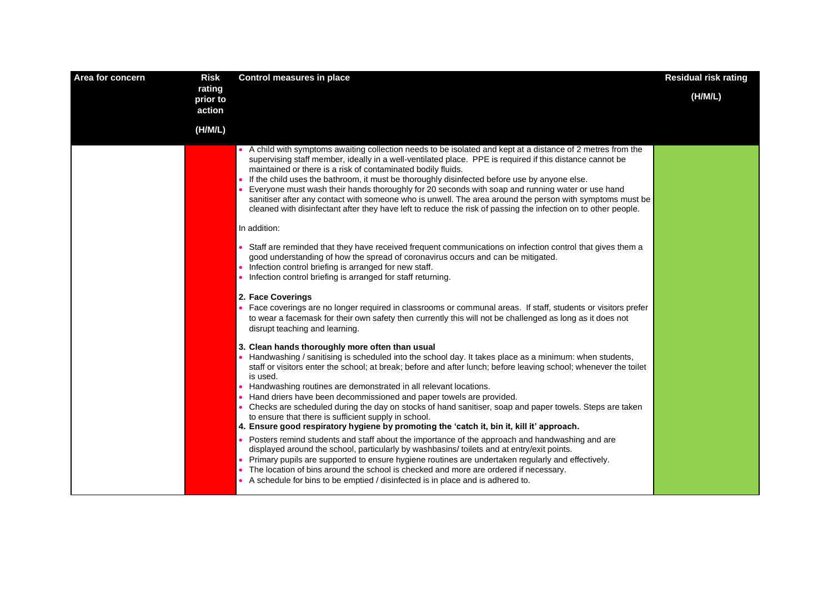| Area for concern | <b>Risk</b>                  | <b>Control measures in place</b>                                                                                                                                                                                                                                                                                                                                                                                                                                                                                                                                                                                                                                                                                               | <b>Residual risk rating</b> |
|------------------|------------------------------|--------------------------------------------------------------------------------------------------------------------------------------------------------------------------------------------------------------------------------------------------------------------------------------------------------------------------------------------------------------------------------------------------------------------------------------------------------------------------------------------------------------------------------------------------------------------------------------------------------------------------------------------------------------------------------------------------------------------------------|-----------------------------|
|                  | rating<br>prior to<br>action |                                                                                                                                                                                                                                                                                                                                                                                                                                                                                                                                                                                                                                                                                                                                | (H/M/L)                     |
|                  | (H/M/L)                      |                                                                                                                                                                                                                                                                                                                                                                                                                                                                                                                                                                                                                                                                                                                                |                             |
|                  |                              | • A child with symptoms awaiting collection needs to be isolated and kept at a distance of 2 metres from the<br>supervising staff member, ideally in a well-ventilated place. PPE is required if this distance cannot be<br>maintained or there is a risk of contaminated bodily fluids.<br>• If the child uses the bathroom, it must be thoroughly disinfected before use by anyone else.<br>• Everyone must wash their hands thoroughly for 20 seconds with soap and running water or use hand<br>sanitiser after any contact with someone who is unwell. The area around the person with symptoms must be<br>cleaned with disinfectant after they have left to reduce the risk of passing the infection on to other people. |                             |
|                  |                              | In addition:                                                                                                                                                                                                                                                                                                                                                                                                                                                                                                                                                                                                                                                                                                                   |                             |
|                  |                              | • Staff are reminded that they have received frequent communications on infection control that gives them a<br>good understanding of how the spread of coronavirus occurs and can be mitigated.<br>• Infection control briefing is arranged for new staff.<br>• Infection control briefing is arranged for staff returning.                                                                                                                                                                                                                                                                                                                                                                                                    |                             |
|                  |                              | 2. Face Coverings<br>• Face coverings are no longer required in classrooms or communal areas. If staff, students or visitors prefer<br>to wear a facemask for their own safety then currently this will not be challenged as long as it does not<br>disrupt teaching and learning.                                                                                                                                                                                                                                                                                                                                                                                                                                             |                             |
|                  |                              | 3. Clean hands thoroughly more often than usual<br>• Handwashing / sanitising is scheduled into the school day. It takes place as a minimum: when students,<br>staff or visitors enter the school; at break; before and after lunch; before leaving school; whenever the toilet<br>is used.<br>• Handwashing routines are demonstrated in all relevant locations.<br>Hand driers have been decommissioned and paper towels are provided.<br>Checks are scheduled during the day on stocks of hand sanitiser, soap and paper towels. Steps are taken<br>to ensure that there is sufficient supply in school.<br>4. Ensure good respiratory hygiene by promoting the 'catch it, bin it, kill it' approach.                       |                             |
|                  |                              | • Posters remind students and staff about the importance of the approach and handwashing and are<br>displayed around the school, particularly by washbasins/ toilets and at entry/exit points.<br>Primary pupils are supported to ensure hygiene routines are undertaken regularly and effectively.<br>The location of bins around the school is checked and more are ordered if necessary.<br>• A schedule for bins to be emptied / disinfected is in place and is adhered to.                                                                                                                                                                                                                                                |                             |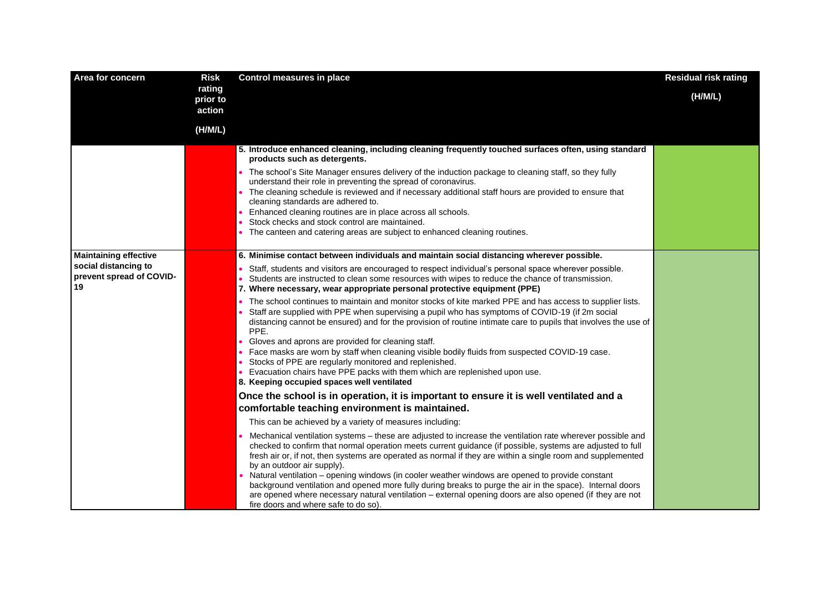| Area for concern                                       | <b>Risk</b>                  | <b>Control measures in place</b>                                                                                                                                                                                                                                                                                                                                              | <b>Residual risk rating</b> |
|--------------------------------------------------------|------------------------------|-------------------------------------------------------------------------------------------------------------------------------------------------------------------------------------------------------------------------------------------------------------------------------------------------------------------------------------------------------------------------------|-----------------------------|
|                                                        | rating<br>prior to<br>action |                                                                                                                                                                                                                                                                                                                                                                               | (H/M/L)                     |
|                                                        | (H/M/L)                      |                                                                                                                                                                                                                                                                                                                                                                               |                             |
|                                                        |                              | 5. Introduce enhanced cleaning, including cleaning frequently touched surfaces often, using standard<br>products such as detergents.<br>The school's Site Manager ensures delivery of the induction package to cleaning staff, so they fully<br>understand their role in preventing the spread of coronavirus.                                                                |                             |
|                                                        |                              | The cleaning schedule is reviewed and if necessary additional staff hours are provided to ensure that<br>$\bullet$<br>cleaning standards are adhered to.<br>Enhanced cleaning routines are in place across all schools.<br>Stock checks and stock control are maintained.<br>• The canteen and catering areas are subject to enhanced cleaning routines.                      |                             |
| <b>Maintaining effective</b>                           |                              | 6. Minimise contact between individuals and maintain social distancing wherever possible.                                                                                                                                                                                                                                                                                     |                             |
| social distancing to<br>prevent spread of COVID-<br>19 |                              | Staff, students and visitors are encouraged to respect individual's personal space wherever possible.<br>Students are instructed to clean some resources with wipes to reduce the chance of transmission.<br>$\bullet$<br>7. Where necessary, wear appropriate personal protective equipment (PPE)                                                                            |                             |
|                                                        |                              | The school continues to maintain and monitor stocks of kite marked PPE and has access to supplier lists.<br>$\bullet$<br>Staff are supplied with PPE when supervising a pupil who has symptoms of COVID-19 (if 2m social<br>distancing cannot be ensured) and for the provision of routine intimate care to pupils that involves the use of<br>PPE.                           |                             |
|                                                        |                              | Gloves and aprons are provided for cleaning staff.<br>Face masks are worn by staff when cleaning visible bodily fluids from suspected COVID-19 case.<br>Stocks of PPE are regularly monitored and replenished.<br>Evacuation chairs have PPE packs with them which are replenished upon use.<br>8. Keeping occupied spaces well ventilated                                    |                             |
|                                                        |                              | Once the school is in operation, it is important to ensure it is well ventilated and a<br>comfortable teaching environment is maintained.                                                                                                                                                                                                                                     |                             |
|                                                        |                              | This can be achieved by a variety of measures including:                                                                                                                                                                                                                                                                                                                      |                             |
|                                                        |                              | Mechanical ventilation systems – these are adjusted to increase the ventilation rate wherever possible and<br>checked to confirm that normal operation meets current guidance (if possible, systems are adjusted to full<br>fresh air or, if not, then systems are operated as normal if they are within a single room and supplemented<br>by an outdoor air supply).         |                             |
|                                                        |                              | Natural ventilation – opening windows (in cooler weather windows are opened to provide constant<br>$\bullet$<br>background ventilation and opened more fully during breaks to purge the air in the space). Internal doors<br>are opened where necessary natural ventilation – external opening doors are also opened (if they are not<br>fire doors and where safe to do so). |                             |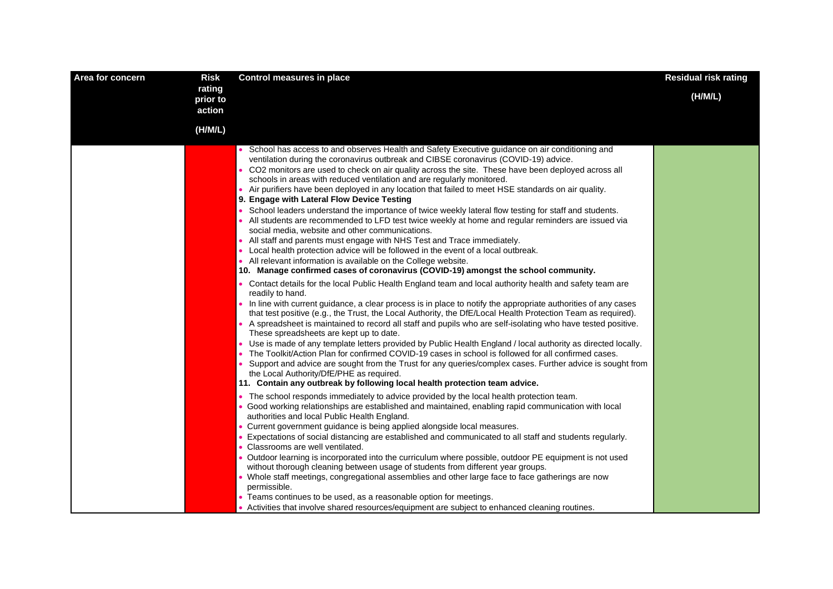| Area for concern | <b>Risk</b>                  | <b>Control measures in place</b>                                                                                                                                                                                                                                                                                                                                                                                                                                                                                                                                                                                                                                                                                                                                                                                                                                                                                                                                                                                                                                                                                                                                                                                                                                                                                                                                                                                                                                                                                                                                                                                                                                                                                                                                                                                                                                                                                                                                                                                                                                                                                                 | <b>Residual risk rating</b> |
|------------------|------------------------------|----------------------------------------------------------------------------------------------------------------------------------------------------------------------------------------------------------------------------------------------------------------------------------------------------------------------------------------------------------------------------------------------------------------------------------------------------------------------------------------------------------------------------------------------------------------------------------------------------------------------------------------------------------------------------------------------------------------------------------------------------------------------------------------------------------------------------------------------------------------------------------------------------------------------------------------------------------------------------------------------------------------------------------------------------------------------------------------------------------------------------------------------------------------------------------------------------------------------------------------------------------------------------------------------------------------------------------------------------------------------------------------------------------------------------------------------------------------------------------------------------------------------------------------------------------------------------------------------------------------------------------------------------------------------------------------------------------------------------------------------------------------------------------------------------------------------------------------------------------------------------------------------------------------------------------------------------------------------------------------------------------------------------------------------------------------------------------------------------------------------------------|-----------------------------|
|                  | rating<br>prior to<br>action |                                                                                                                                                                                                                                                                                                                                                                                                                                                                                                                                                                                                                                                                                                                                                                                                                                                                                                                                                                                                                                                                                                                                                                                                                                                                                                                                                                                                                                                                                                                                                                                                                                                                                                                                                                                                                                                                                                                                                                                                                                                                                                                                  | (H/M/L)                     |
|                  | (H/M/L)                      |                                                                                                                                                                                                                                                                                                                                                                                                                                                                                                                                                                                                                                                                                                                                                                                                                                                                                                                                                                                                                                                                                                                                                                                                                                                                                                                                                                                                                                                                                                                                                                                                                                                                                                                                                                                                                                                                                                                                                                                                                                                                                                                                  |                             |
|                  |                              | • School has access to and observes Health and Safety Executive guidance on air conditioning and<br>ventilation during the coronavirus outbreak and CIBSE coronavirus (COVID-19) advice.<br>• CO2 monitors are used to check on air quality across the site. These have been deployed across all<br>schools in areas with reduced ventilation and are regularly monitored.<br>• Air purifiers have been deployed in any location that failed to meet HSE standards on air quality.<br>9. Engage with Lateral Flow Device Testing<br>School leaders understand the importance of twice weekly lateral flow testing for staff and students.<br>• All students are recommended to LFD test twice weekly at home and regular reminders are issued via<br>social media, website and other communications.<br>• All staff and parents must engage with NHS Test and Trace immediately.<br>• Local health protection advice will be followed in the event of a local outbreak.<br>• All relevant information is available on the College website.<br>10. Manage confirmed cases of coronavirus (COVID-19) amongst the school community.<br>Contact details for the local Public Health England team and local authority health and safety team are<br>readily to hand.<br>• In line with current guidance, a clear process is in place to notify the appropriate authorities of any cases<br>that test positive (e.g., the Trust, the Local Authority, the DfE/Local Health Protection Team as required).<br>• A spreadsheet is maintained to record all staff and pupils who are self-isolating who have tested positive.<br>These spreadsheets are kept up to date.<br>• Use is made of any template letters provided by Public Health England / local authority as directed locally.<br>• The Toolkit/Action Plan for confirmed COVID-19 cases in school is followed for all confirmed cases.<br>Support and advice are sought from the Trust for any queries/complex cases. Further advice is sought from<br>the Local Authority/DfE/PHE as required.<br>11. Contain any outbreak by following local health protection team advice. |                             |
|                  |                              | • The school responds immediately to advice provided by the local health protection team.<br>· Good working relationships are established and maintained, enabling rapid communication with local<br>authorities and local Public Health England.<br>• Current government guidance is being applied alongside local measures.<br>Expectations of social distancing are established and communicated to all staff and students regularly.<br>• Classrooms are well ventilated.<br>• Outdoor learning is incorporated into the curriculum where possible, outdoor PE equipment is not used<br>without thorough cleaning between usage of students from different year groups.<br>• Whole staff meetings, congregational assemblies and other large face to face gatherings are now<br>permissible.<br>• Teams continues to be used, as a reasonable option for meetings.<br>• Activities that involve shared resources/equipment are subject to enhanced cleaning routines.                                                                                                                                                                                                                                                                                                                                                                                                                                                                                                                                                                                                                                                                                                                                                                                                                                                                                                                                                                                                                                                                                                                                                        |                             |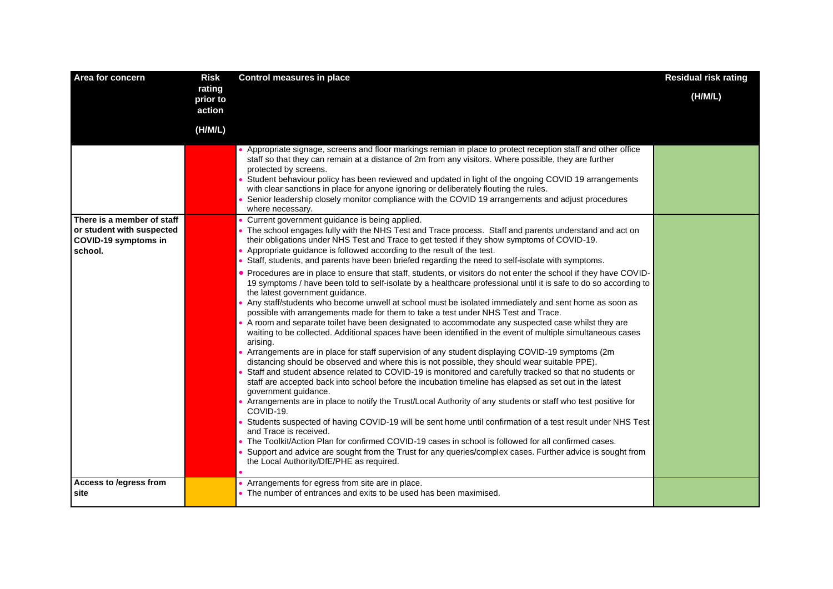| Area for concern                                                                           | <b>Risk</b>                  | <b>Control measures in place</b>                                                                                                                                                                                                                                                                                                                                                                                                                                                                                                                                                                                                                                                                                                                                                                                                                                                                                                                                                                                                                                                                                                                                                                                                                                                                                                                                                                                                                                                                                                                                                                                                                                                                     | <b>Residual risk rating</b> |
|--------------------------------------------------------------------------------------------|------------------------------|------------------------------------------------------------------------------------------------------------------------------------------------------------------------------------------------------------------------------------------------------------------------------------------------------------------------------------------------------------------------------------------------------------------------------------------------------------------------------------------------------------------------------------------------------------------------------------------------------------------------------------------------------------------------------------------------------------------------------------------------------------------------------------------------------------------------------------------------------------------------------------------------------------------------------------------------------------------------------------------------------------------------------------------------------------------------------------------------------------------------------------------------------------------------------------------------------------------------------------------------------------------------------------------------------------------------------------------------------------------------------------------------------------------------------------------------------------------------------------------------------------------------------------------------------------------------------------------------------------------------------------------------------------------------------------------------------|-----------------------------|
|                                                                                            | rating<br>prior to<br>action |                                                                                                                                                                                                                                                                                                                                                                                                                                                                                                                                                                                                                                                                                                                                                                                                                                                                                                                                                                                                                                                                                                                                                                                                                                                                                                                                                                                                                                                                                                                                                                                                                                                                                                      | (H/M/L)                     |
|                                                                                            | (H/M/L)                      |                                                                                                                                                                                                                                                                                                                                                                                                                                                                                                                                                                                                                                                                                                                                                                                                                                                                                                                                                                                                                                                                                                                                                                                                                                                                                                                                                                                                                                                                                                                                                                                                                                                                                                      |                             |
|                                                                                            |                              | • Appropriate signage, screens and floor markings remian in place to protect reception staff and other office<br>staff so that they can remain at a distance of 2m from any visitors. Where possible, they are further<br>protected by screens.<br>Student behaviour policy has been reviewed and updated in light of the ongoing COVID 19 arrangements<br>with clear sanctions in place for anyone ignoring or deliberately flouting the rules.<br>Senior leadership closely monitor compliance with the COVID 19 arrangements and adjust procedures<br>where necessary.                                                                                                                                                                                                                                                                                                                                                                                                                                                                                                                                                                                                                                                                                                                                                                                                                                                                                                                                                                                                                                                                                                                            |                             |
| There is a member of staff<br>or student with suspected<br>COVID-19 symptoms in<br>school. |                              | • Current government guidance is being applied.<br>• The school engages fully with the NHS Test and Trace process. Staff and parents understand and act on<br>their obligations under NHS Test and Trace to get tested if they show symptoms of COVID-19.<br>• Appropriate guidance is followed according to the result of the test.<br>Staff, students, and parents have been briefed regarding the need to self-isolate with symptoms.                                                                                                                                                                                                                                                                                                                                                                                                                                                                                                                                                                                                                                                                                                                                                                                                                                                                                                                                                                                                                                                                                                                                                                                                                                                             |                             |
|                                                                                            |                              | . Procedures are in place to ensure that staff, students, or visitors do not enter the school if they have COVID-<br>19 symptoms / have been told to self-isolate by a healthcare professional until it is safe to do so according to<br>the latest government guidance.<br>. Any staff/students who become unwell at school must be isolated immediately and sent home as soon as<br>possible with arrangements made for them to take a test under NHS Test and Trace.<br>• A room and separate toilet have been designated to accommodate any suspected case whilst they are<br>waiting to be collected. Additional spaces have been identified in the event of multiple simultaneous cases<br>arising.<br>Arrangements are in place for staff supervision of any student displaying COVID-19 symptoms (2m<br>distancing should be observed and where this is not possible, they should wear suitable PPE).<br>Staff and student absence related to COVID-19 is monitored and carefully tracked so that no students or<br>staff are accepted back into school before the incubation timeline has elapsed as set out in the latest<br>government guidance.<br>• Arrangements are in place to notify the Trust/Local Authority of any students or staff who test positive for<br>COVID-19.<br>Students suspected of having COVID-19 will be sent home until confirmation of a test result under NHS Test<br>and Trace is received.<br>• The Toolkit/Action Plan for confirmed COVID-19 cases in school is followed for all confirmed cases.<br>Support and advice are sought from the Trust for any queries/complex cases. Further advice is sought from<br>the Local Authority/DfE/PHE as required. |                             |
| Access to /egress from<br>site                                                             |                              | • Arrangements for egress from site are in place.<br>• The number of entrances and exits to be used has been maximised.                                                                                                                                                                                                                                                                                                                                                                                                                                                                                                                                                                                                                                                                                                                                                                                                                                                                                                                                                                                                                                                                                                                                                                                                                                                                                                                                                                                                                                                                                                                                                                              |                             |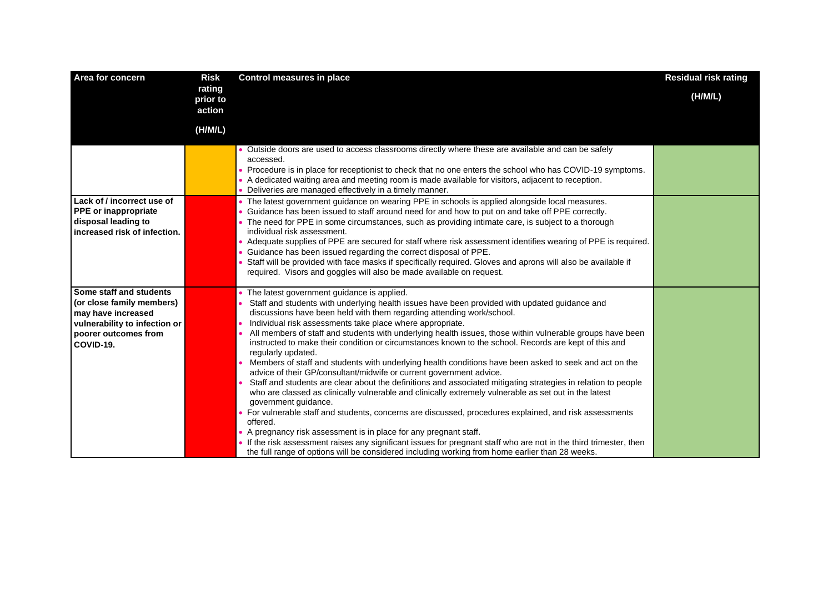| Area for concern                                                                                                                                 | <b>Risk</b>                  | <b>Control measures in place</b>                                                                                                                                                                                                                                                                                                                                                                                                                                                                                                                                                                                                                                                                                                                                                                                                                                                                                                                                                                                                                                                                                                                                                                                                                                                                                                                                                      | <b>Residual risk rating</b> |
|--------------------------------------------------------------------------------------------------------------------------------------------------|------------------------------|---------------------------------------------------------------------------------------------------------------------------------------------------------------------------------------------------------------------------------------------------------------------------------------------------------------------------------------------------------------------------------------------------------------------------------------------------------------------------------------------------------------------------------------------------------------------------------------------------------------------------------------------------------------------------------------------------------------------------------------------------------------------------------------------------------------------------------------------------------------------------------------------------------------------------------------------------------------------------------------------------------------------------------------------------------------------------------------------------------------------------------------------------------------------------------------------------------------------------------------------------------------------------------------------------------------------------------------------------------------------------------------|-----------------------------|
|                                                                                                                                                  | rating<br>prior to<br>action |                                                                                                                                                                                                                                                                                                                                                                                                                                                                                                                                                                                                                                                                                                                                                                                                                                                                                                                                                                                                                                                                                                                                                                                                                                                                                                                                                                                       | (H/M/L)                     |
|                                                                                                                                                  | (H/M/L)                      |                                                                                                                                                                                                                                                                                                                                                                                                                                                                                                                                                                                                                                                                                                                                                                                                                                                                                                                                                                                                                                                                                                                                                                                                                                                                                                                                                                                       |                             |
|                                                                                                                                                  |                              | . Outside doors are used to access classrooms directly where these are available and can be safely<br>accessed.<br>• Procedure is in place for receptionist to check that no one enters the school who has COVID-19 symptoms.<br>• A dedicated waiting area and meeting room is made available for visitors, adjacent to reception.<br>• Deliveries are managed effectively in a timely manner.                                                                                                                                                                                                                                                                                                                                                                                                                                                                                                                                                                                                                                                                                                                                                                                                                                                                                                                                                                                       |                             |
| Lack of / incorrect use of<br><b>PPE</b> or inappropriate<br>disposal leading to<br>increased risk of infection.                                 |                              | • The latest government guidance on wearing PPE in schools is applied alongside local measures.<br>• Guidance has been issued to staff around need for and how to put on and take off PPE correctly.<br>• The need for PPE in some circumstances, such as providing intimate care, is subject to a thorough<br>individual risk assessment.<br>• Adequate supplies of PPE are secured for staff where risk assessment identifies wearing of PPE is required.<br>Guidance has been issued regarding the correct disposal of PPE.<br>Staff will be provided with face masks if specifically required. Gloves and aprons will also be available if<br>required. Visors and goggles will also be made available on request.                                                                                                                                                                                                                                                                                                                                                                                                                                                                                                                                                                                                                                                                |                             |
| Some staff and students<br>(or close family members)<br>may have increased<br>vulnerability to infection or<br>poorer outcomes from<br>COVID-19. |                              | • The latest government guidance is applied.<br>Staff and students with underlying health issues have been provided with updated guidance and<br>discussions have been held with them regarding attending work/school.<br>Individual risk assessments take place where appropriate.<br>All members of staff and students with underlying health issues, those within vulnerable groups have been<br>instructed to make their condition or circumstances known to the school. Records are kept of this and<br>regularly updated.<br>Members of staff and students with underlying health conditions have been asked to seek and act on the<br>advice of their GP/consultant/midwife or current government advice.<br>Staff and students are clear about the definitions and associated mitigating strategies in relation to people<br>who are classed as clinically vulnerable and clinically extremely vulnerable as set out in the latest<br>government guidance.<br>• For vulnerable staff and students, concerns are discussed, procedures explained, and risk assessments<br>offered.<br>• A pregnancy risk assessment is in place for any pregnant staff.<br>If the risk assessment raises any significant issues for pregnant staff who are not in the third trimester, then<br>the full range of options will be considered including working from home earlier than 28 weeks. |                             |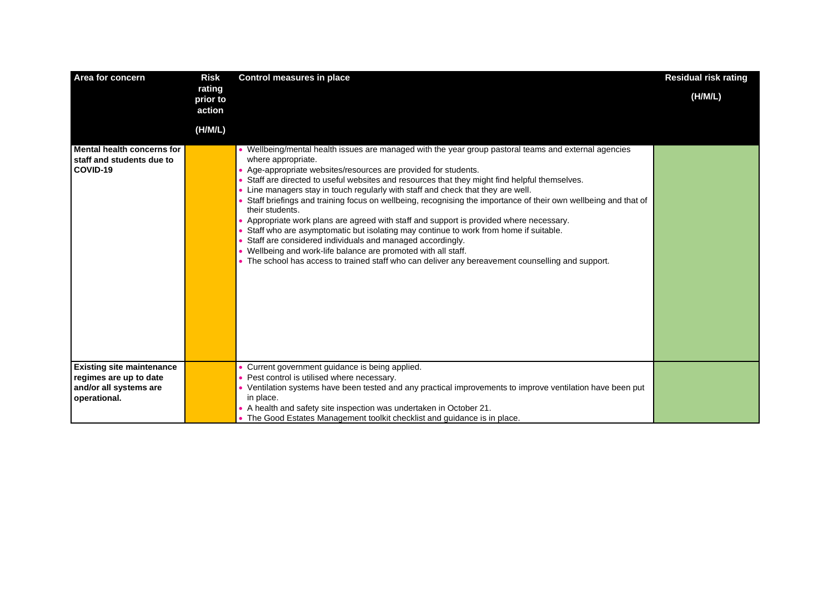| Area for concern                                                    | <b>Risk</b>                  | <b>Control measures in place</b>                                                                                                                                                                                                                                                                                                                                                                                                                                                                                                                                                                                                                                                                                                                                                                                                                                                                                                             | <b>Residual risk rating</b> |
|---------------------------------------------------------------------|------------------------------|----------------------------------------------------------------------------------------------------------------------------------------------------------------------------------------------------------------------------------------------------------------------------------------------------------------------------------------------------------------------------------------------------------------------------------------------------------------------------------------------------------------------------------------------------------------------------------------------------------------------------------------------------------------------------------------------------------------------------------------------------------------------------------------------------------------------------------------------------------------------------------------------------------------------------------------------|-----------------------------|
|                                                                     | rating<br>prior to<br>action |                                                                                                                                                                                                                                                                                                                                                                                                                                                                                                                                                                                                                                                                                                                                                                                                                                                                                                                                              | (H/M/L)                     |
|                                                                     | (H/M/L)                      |                                                                                                                                                                                                                                                                                                                                                                                                                                                                                                                                                                                                                                                                                                                                                                                                                                                                                                                                              |                             |
| Mental health concerns for<br>staff and students due to<br>COVID-19 |                              | . Wellbeing/mental health issues are managed with the year group pastoral teams and external agencies<br>where appropriate.<br>• Age-appropriate websites/resources are provided for students.<br>Staff are directed to useful websites and resources that they might find helpful themselves.<br>Line managers stay in touch regularly with staff and check that they are well.<br>Staff briefings and training focus on wellbeing, recognising the importance of their own wellbeing and that of<br>their students.<br>• Appropriate work plans are agreed with staff and support is provided where necessary.<br>Staff who are asymptomatic but isolating may continue to work from home if suitable.<br>Staff are considered individuals and managed accordingly.<br>• Wellbeing and work-life balance are promoted with all staff.<br>• The school has access to trained staff who can deliver any bereavement counselling and support. |                             |
| <b>Existing site maintenance</b>                                    |                              | Current government guidance is being applied.                                                                                                                                                                                                                                                                                                                                                                                                                                                                                                                                                                                                                                                                                                                                                                                                                                                                                                |                             |
| regimes are up to date<br>and/or all systems are                    |                              | Pest control is utilised where necessary.<br>• Ventilation systems have been tested and any practical improvements to improve ventilation have been put                                                                                                                                                                                                                                                                                                                                                                                                                                                                                                                                                                                                                                                                                                                                                                                      |                             |
| operational.                                                        |                              | in place.                                                                                                                                                                                                                                                                                                                                                                                                                                                                                                                                                                                                                                                                                                                                                                                                                                                                                                                                    |                             |
|                                                                     |                              | • A health and safety site inspection was undertaken in October 21.                                                                                                                                                                                                                                                                                                                                                                                                                                                                                                                                                                                                                                                                                                                                                                                                                                                                          |                             |
|                                                                     |                              | • The Good Estates Management toolkit checklist and quidance is in place.                                                                                                                                                                                                                                                                                                                                                                                                                                                                                                                                                                                                                                                                                                                                                                                                                                                                    |                             |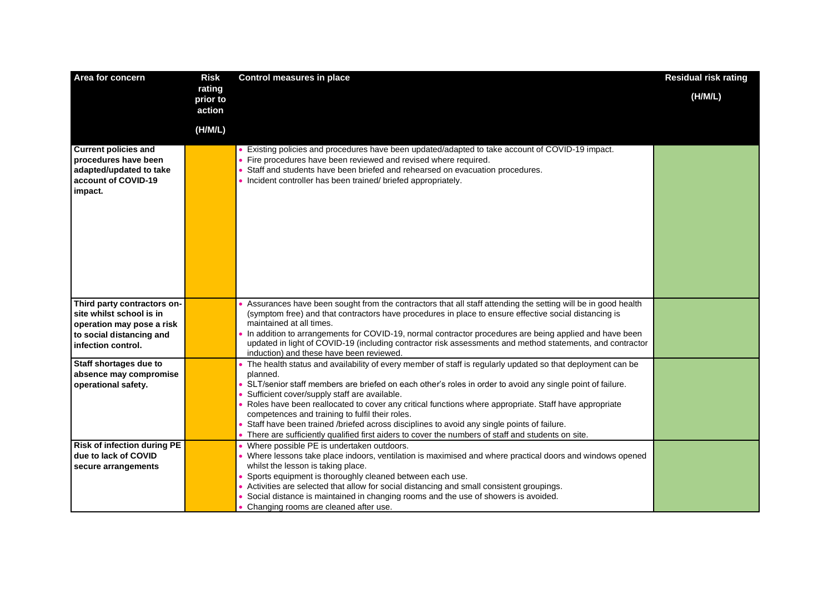| Area for concern                                                                                                                       | <b>Risk</b>                  | <b>Control measures in place</b>                                                                                                                                                                                                                                                                                                                                                                                                                                                                                                                                                                                                                       | <b>Residual risk rating</b> |
|----------------------------------------------------------------------------------------------------------------------------------------|------------------------------|--------------------------------------------------------------------------------------------------------------------------------------------------------------------------------------------------------------------------------------------------------------------------------------------------------------------------------------------------------------------------------------------------------------------------------------------------------------------------------------------------------------------------------------------------------------------------------------------------------------------------------------------------------|-----------------------------|
|                                                                                                                                        | rating<br>prior to<br>action |                                                                                                                                                                                                                                                                                                                                                                                                                                                                                                                                                                                                                                                        | (H/M/L)                     |
|                                                                                                                                        | (H/M/L)                      |                                                                                                                                                                                                                                                                                                                                                                                                                                                                                                                                                                                                                                                        |                             |
| <b>Current policies and</b><br>procedures have been<br>adapted/updated to take<br>account of COVID-19<br>impact.                       |                              | • Existing policies and procedures have been updated/adapted to take account of COVID-19 impact.<br>• Fire procedures have been reviewed and revised where required.<br>Staff and students have been briefed and rehearsed on evacuation procedures.<br>• Incident controller has been trained/ briefed appropriately.                                                                                                                                                                                                                                                                                                                                 |                             |
| Third party contractors on-<br>site whilst school is in<br>operation may pose a risk<br>to social distancing and<br>infection control. |                              | Assurances have been sought from the contractors that all staff attending the setting will be in good health<br>(symptom free) and that contractors have procedures in place to ensure effective social distancing is<br>maintained at all times.<br>. In addition to arrangements for COVID-19, normal contractor procedures are being applied and have been<br>updated in light of COVID-19 (including contractor risk assessments and method statements, and contractor                                                                                                                                                                             |                             |
|                                                                                                                                        |                              | induction) and these have been reviewed.                                                                                                                                                                                                                                                                                                                                                                                                                                                                                                                                                                                                               |                             |
| Staff shortages due to<br>absence may compromise<br>operational safety.                                                                |                              | • The health status and availability of every member of staff is regularly updated so that deployment can be<br>planned.<br>SLT/senior staff members are briefed on each other's roles in order to avoid any single point of failure.<br>Sufficient cover/supply staff are available.<br>Roles have been reallocated to cover any critical functions where appropriate. Staff have appropriate<br>competences and training to fulfil their roles.<br>Staff have been trained /briefed across disciplines to avoid any single points of failure.<br>• There are sufficiently qualified first aiders to cover the numbers of staff and students on site. |                             |
| <b>Risk of infection during PE</b><br>due to lack of COVID<br>secure arrangements                                                      |                              | • Where possible PE is undertaken outdoors.<br>• Where lessons take place indoors, ventilation is maximised and where practical doors and windows opened<br>whilst the lesson is taking place.<br>Sports equipment is thoroughly cleaned between each use.<br>• Activities are selected that allow for social distancing and small consistent groupings.<br>Social distance is maintained in changing rooms and the use of showers is avoided.<br>Changing rooms are cleaned after use.                                                                                                                                                                |                             |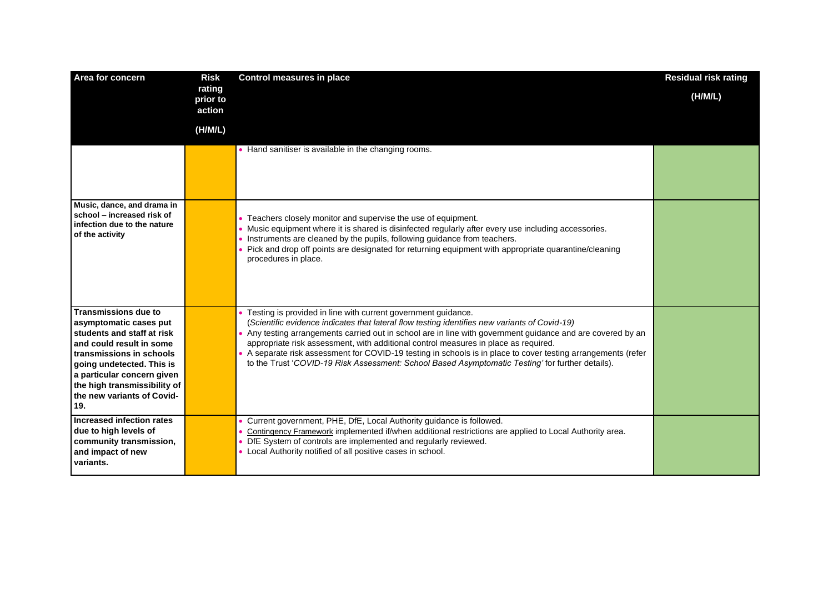| Area for concern                                                                                                                                                                                                                                                            | <b>Risk</b>                  | <b>Control measures in place</b>                                                                                                                                                                                                                                                                                                                                                                                                                                                                                                                                                            | <b>Residual risk rating</b> |
|-----------------------------------------------------------------------------------------------------------------------------------------------------------------------------------------------------------------------------------------------------------------------------|------------------------------|---------------------------------------------------------------------------------------------------------------------------------------------------------------------------------------------------------------------------------------------------------------------------------------------------------------------------------------------------------------------------------------------------------------------------------------------------------------------------------------------------------------------------------------------------------------------------------------------|-----------------------------|
|                                                                                                                                                                                                                                                                             | rating<br>prior to<br>action |                                                                                                                                                                                                                                                                                                                                                                                                                                                                                                                                                                                             | (H/M/L)                     |
|                                                                                                                                                                                                                                                                             | (H/M/L)                      |                                                                                                                                                                                                                                                                                                                                                                                                                                                                                                                                                                                             |                             |
|                                                                                                                                                                                                                                                                             |                              | • Hand sanitiser is available in the changing rooms.                                                                                                                                                                                                                                                                                                                                                                                                                                                                                                                                        |                             |
| Music, dance, and drama in<br>school - increased risk of<br>infection due to the nature<br>of the activity                                                                                                                                                                  |                              | • Teachers closely monitor and supervise the use of equipment.<br>. Music equipment where it is shared is disinfected regularly after every use including accessories.<br>Instruments are cleaned by the pupils, following guidance from teachers.<br>• Pick and drop off points are designated for returning equipment with appropriate quarantine/cleaning<br>procedures in place.                                                                                                                                                                                                        |                             |
| <b>Transmissions due to</b><br>asymptomatic cases put<br>students and staff at risk<br>and could result in some<br>transmissions in schools<br>going undetected. This is<br>a particular concern given<br>the high transmissibility of<br>the new variants of Covid-<br>19. |                              | • Testing is provided in line with current government guidance.<br>(Scientific evidence indicates that lateral flow testing identifies new variants of Covid-19)<br>• Any testing arrangements carried out in school are in line with government guidance and are covered by an<br>appropriate risk assessment, with additional control measures in place as required.<br>• A separate risk assessment for COVID-19 testing in schools is in place to cover testing arrangements (refer<br>to the Trust 'COVID-19 Risk Assessment: School Based Asymptomatic Testing' for further details). |                             |
| Increased infection rates<br>due to high levels of<br>community transmission,<br>and impact of new<br>variants.                                                                                                                                                             |                              | Current government, PHE, DfE, Local Authority guidance is followed.<br>Contingency Framework implemented if/when additional restrictions are applied to Local Authority area.<br>• DfE System of controls are implemented and regularly reviewed.<br>• Local Authority notified of all positive cases in school.                                                                                                                                                                                                                                                                            |                             |